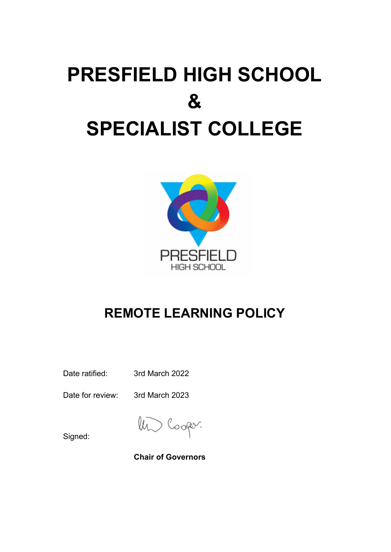# **PRESFIELD HIGH SCHOOL & SPECIALIST COLLEGE**



# **REMOTE LEARNING POLICY**

Date ratified: 3rd March 2022

Date for review: 3rd March 2023

Signed:

**Chair of Governors**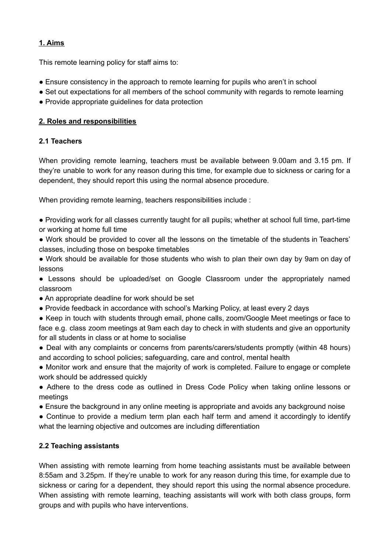# **1. Aims**

This remote learning policy for staff aims to:

- Ensure consistency in the approach to remote learning for pupils who aren't in school
- Set out expectations for all members of the school community with regards to remote learning
- Provide appropriate guidelines for data protection

# **2. Roles and responsibilities**

# **2.1 Teachers**

When providing remote learning, teachers must be available between 9.00am and 3.15 pm. If they're unable to work for any reason during this time, for example due to sickness or caring for a dependent, they should report this using the normal absence procedure.

When providing remote learning, teachers responsibilities include :

● Providing work for all classes currently taught for all pupils; whether at school full time, part-time or working at home full time

● Work should be provided to cover all the lessons on the timetable of the students in Teachers' classes, including those on bespoke timetables

● Work should be available for those students who wish to plan their own day by 9am on day of lessons

● Lessons should be uploaded/set on Google Classroom under the appropriately named classroom

- An appropriate deadline for work should be set
- Provide feedback in accordance with school's Marking Policy, at least every 2 days
- Keep in touch with students through email, phone calls, zoom/Google Meet meetings or face to face e.g. class zoom meetings at 9am each day to check in with students and give an opportunity for all students in class or at home to socialise

• Deal with any complaints or concerns from parents/carers/students promptly (within 48 hours) and according to school policies; safeguarding, care and control, mental health

• Monitor work and ensure that the majority of work is completed. Failure to engage or complete work should be addressed quickly

● Adhere to the dress code as outlined in Dress Code Policy when taking online lessons or meetings

● Ensure the background in any online meeting is appropriate and avoids any background noise

• Continue to provide a medium term plan each half term and amend it accordingly to identify what the learning objective and outcomes are including differentiation

# **2.2 Teaching assistants**

When assisting with remote learning from home teaching assistants must be available between 8:55am and 3.25pm. If they're unable to work for any reason during this time, for example due to sickness or caring for a dependent, they should report this using the normal absence procedure. When assisting with remote learning, teaching assistants will work with both class groups, form groups and with pupils who have interventions.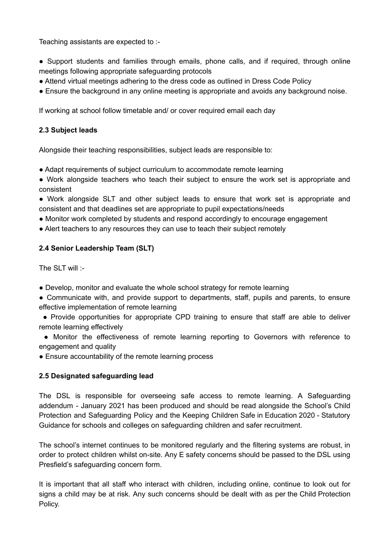Teaching assistants are expected to :-

- Support students and families through emails, phone calls, and if required, through online meetings following appropriate safeguarding protocols
- Attend virtual meetings adhering to the dress code as outlined in Dress Code Policy
- Ensure the background in any online meeting is appropriate and avoids any background noise.

If working at school follow timetable and/ or cover required email each day

#### **2.3 Subject leads**

Alongside their teaching responsibilities, subject leads are responsible to:

- Adapt requirements of subject curriculum to accommodate remote learning
- Work alongside teachers who teach their subject to ensure the work set is appropriate and consistent
- Work alongside SLT and other subject leads to ensure that work set is appropriate and consistent and that deadlines set are appropriate to pupil expectations/needs
- Monitor work completed by students and respond accordingly to encourage engagement
- Alert teachers to any resources they can use to teach their subject remotely

# **2.4 Senior Leadership Team (SLT)**

The  $SI$ T will  $\cdot$ -

- Develop, monitor and evaluate the whole school strategy for remote learning
- Communicate with, and provide support to departments, staff, pupils and parents, to ensure effective implementation of remote learning
- Provide opportunities for appropriate CPD training to ensure that staff are able to deliver remote learning effectively
- Monitor the effectiveness of remote learning reporting to Governors with reference to engagement and quality

• Ensure accountability of the remote learning process

# **2.5 Designated safeguarding lead**

The DSL is responsible for overseeing safe access to remote learning. A Safeguarding addendum - January 2021 has been produced and should be read alongside the School's Child Protection and Safeguarding Policy and the Keeping Children Safe in Education 2020 - Statutory Guidance for schools and colleges on safeguarding children and safer recruitment.

The school's internet continues to be monitored regularly and the filtering systems are robust, in order to protect children whilst on-site. Any E safety concerns should be passed to the DSL using Presfield's safeguarding concern form.

It is important that all staff who interact with children, including online, continue to look out for signs a child may be at risk. Any such concerns should be dealt with as per the Child Protection Policy.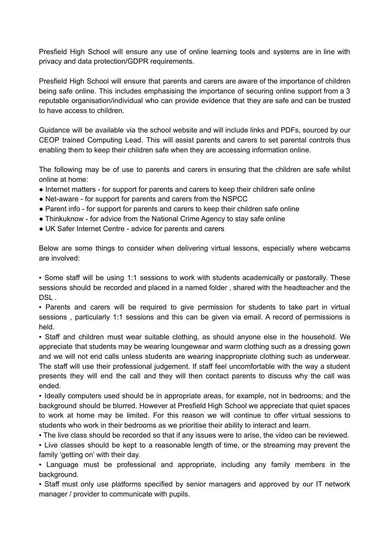Presfield High School will ensure any use of online learning tools and systems are in line with privacy and data protection/GDPR requirements.

Presfield High School will ensure that parents and carers are aware of the importance of children being safe online. This includes emphasising the importance of securing online support from a 3 reputable organisation/individual who can provide evidence that they are safe and can be trusted to have access to children.

Guidance will be available via the school website and will include links and PDFs, sourced by our CEOP trained Computing Lead. This will assist parents and carers to set parental controls thus enabling them to keep their children safe when they are accessing information online.

The following may be of use to parents and carers in ensuring that the children are safe whilst online at home:

- Internet matters for support for parents and carers to keep their children safe online
- Net-aware for support for parents and carers from the NSPCC
- Parent info for support for parents and carers to keep their children safe online
- Thinkuknow for advice from the National Crime Agency to stay safe online
- UK Safer Internet Centre advice for parents and carers

Below are some things to consider when delivering virtual lessons, especially where webcams are involved:

▪ Some staff will be using 1:1 sessions to work with students academically or pastorally. These sessions should be recorded and placed in a named folder , shared with the headteacher and the DSL.

• Parents and carers will be required to give permission for students to take part in virtual sessions, particularly 1:1 sessions and this can be given via email. A record of permissions is held.

▪ Staff and children must wear suitable clothing, as should anyone else in the household. We appreciate that students may be wearing loungewear and warm clothing such as a dressing gown and we will not end calls unless students are wearing inappropriate clothing such as underwear. The staff will use their professional judgement. If staff feel uncomfortable with the way a student presents they will end the call and they will then contact parents to discuss why the call was ended.

▪ Ideally computers used should be in appropriate areas, for example, not in bedrooms; and the background should be blurred. However at Presfield High School we appreciate that quiet spaces to work at home may be limited. For this reason we will continue to offer virtual sessions to students who work in their bedrooms as we prioritise their ability to interact and learn.

▪ The live class should be recorded so that if any issues were to arise, the video can be reviewed.

▪ Live classes should be kept to a reasonable length of time, or the streaming may prevent the family 'getting on' with their day.

▪ Language must be professional and appropriate, including any family members in the background.

▪ Staff must only use platforms specified by senior managers and approved by our IT network manager / provider to communicate with pupils.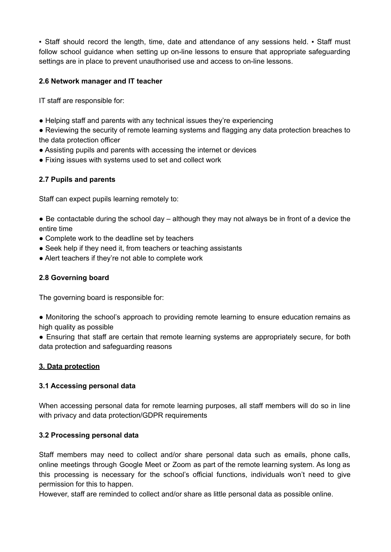• Staff should record the length, time, date and attendance of any sessions held. • Staff must follow school guidance when setting up on-line lessons to ensure that appropriate safeguarding settings are in place to prevent unauthorised use and access to on-line lessons.

# **2.6 Network manager and IT teacher**

IT staff are responsible for:

• Helping staff and parents with any technical issues they're experiencing

● Reviewing the security of remote learning systems and flagging any data protection breaches to the data protection officer

- Assisting pupils and parents with accessing the internet or devices
- Fixing issues with systems used to set and collect work

# **2.7 Pupils and parents**

Staff can expect pupils learning remotely to:

- Be contactable during the school day although they may not always be in front of a device the entire time
- Complete work to the deadline set by teachers
- Seek help if they need it, from teachers or teaching assistants
- Alert teachers if they're not able to complete work

# **2.8 Governing board**

The governing board is responsible for:

● Monitoring the school's approach to providing remote learning to ensure education remains as high quality as possible

● Ensuring that staff are certain that remote learning systems are appropriately secure, for both data protection and safeguarding reasons

# **3. Data protection**

# **3.1 Accessing personal data**

When accessing personal data for remote learning purposes, all staff members will do so in line with privacy and data protection/GDPR requirements

# **3.2 Processing personal data**

Staff members may need to collect and/or share personal data such as emails, phone calls, online meetings through Google Meet or Zoom as part of the remote learning system. As long as this processing is necessary for the school's official functions, individuals won't need to give permission for this to happen.

However, staff are reminded to collect and/or share as little personal data as possible online.